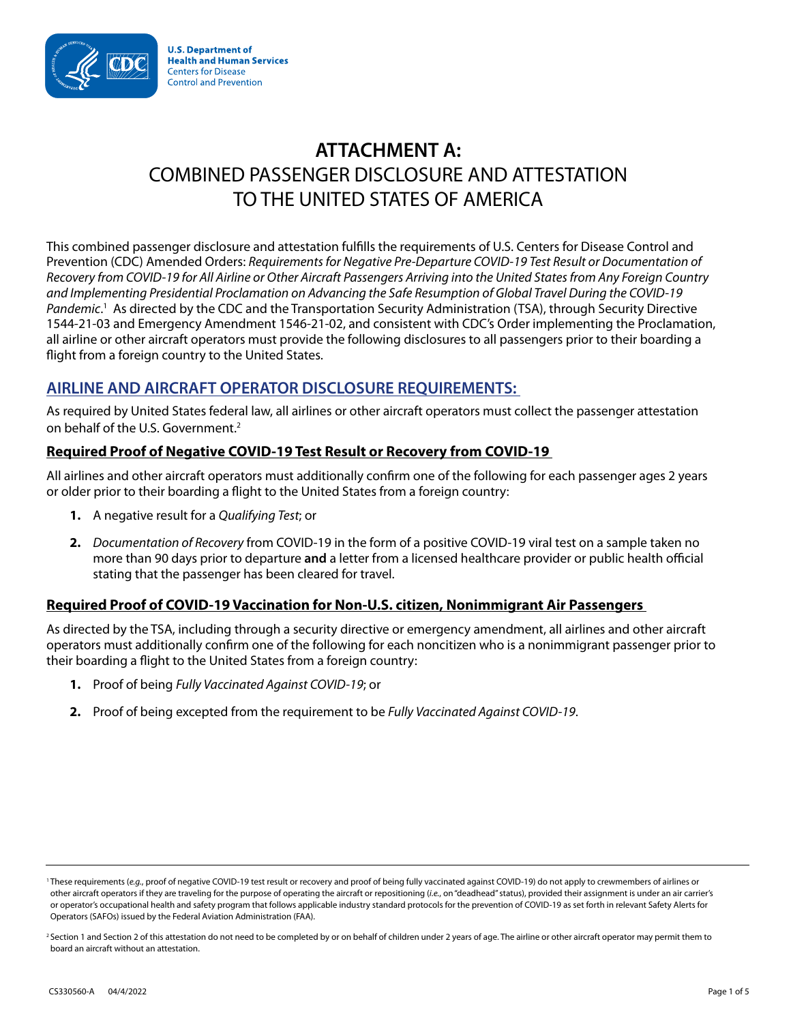

# **ATTACHMENT A:**  COMBINED PASSENGER DISCLOSURE AND ATTESTATION TO THE UNITED STATES OF AMERICA

This combined passenger disclosure and attestation fulfills the requirements of U.S. Centers for Disease Control and Prevention (CDC) Amended Orders: *Requirements for Negative Pre-Departure COVID-19 Test Result or Documentation of Recovery from COVID-19 for All Airline or Other Aircraft Passengers Arriving into the United States from Any Foreign Country and Implementing Presidential Proclamation on Advancing the Safe Resumption of Global Travel During the COVID-19*  Pandemic.<sup>1</sup> As directed by the CDC and the Transportation Security Administration (TSA), through Security Directive 1544-21-03 and Emergency Amendment 1546-21-02, and consistent with CDC's Order implementing the Proclamation, all airline or other aircraft operators must provide the following disclosures to all passengers prior to their boarding a flight from a foreign country to the United States.

## **AIRLINE AND AIRCRAFT OPERATOR DISCLOSURE REQUIREMENTS:**

As required by United States federal law, all airlines or other aircraft operators must collect the passenger attestation on behalf of the U.S. Government.<sup>2</sup>

#### **Required Proof of Negative COVID-19 Test Result or Recovery from COVID-19**

All airlines and other aircraft operators must additionally confirm one of the following for each passenger ages 2 years or older prior to their boarding a flight to the United States from a foreign country:

- **1.** A negative result for a *Qualifying Test*; or
- **2.** *Documentation of Recovery* from COVID-19 in the form of a positive COVID-19 viral test on a sample taken no more than 90 days prior to departure **and** a letter from a licensed healthcare provider or public health official stating that the passenger has been cleared for travel.

## **Required Proof of COVID-19 Vaccination for Non-U.S. citizen, Nonimmigrant Air Passengers**

As directed by the TSA, including through a security directive or emergency amendment, all airlines and other aircraft operators must additionally confirm one of the following for each noncitizen who is a nonimmigrant passenger prior to their boarding a flight to the United States from a foreign country:

- **1.** Proof of being *Fully Vaccinated Against COVID-19*; or
- **2.** Proof of being excepted from the requirement to be *Fully Vaccinated Against COVID-19*.

<sup>&</sup>lt;sup>1</sup>These requirements (e.g., proof of negative COVID-19 test result or recovery and proof of being fully vaccinated against COVID-19) do not apply to crewmembers of airlines or other aircraft operators if they are traveling for the purpose of operating the aircraft or repositioning (*i.e.*, on "deadhead" status), provided their assignment is under an air carrier's or operator's occupational health and safety program that follows applicable industry standard protocols for the prevention of COVID-19 as set forth in relevant Safety Alerts for Operators (SAFOs) issued by the Federal Aviation Administration (FAA).

<sup>&</sup>lt;sup>2</sup> Section 1 and Section 2 of this attestation do not need to be completed by or on behalf of children under 2 years of age. The airline or other aircraft operator may permit them to board an aircraft without an attestation.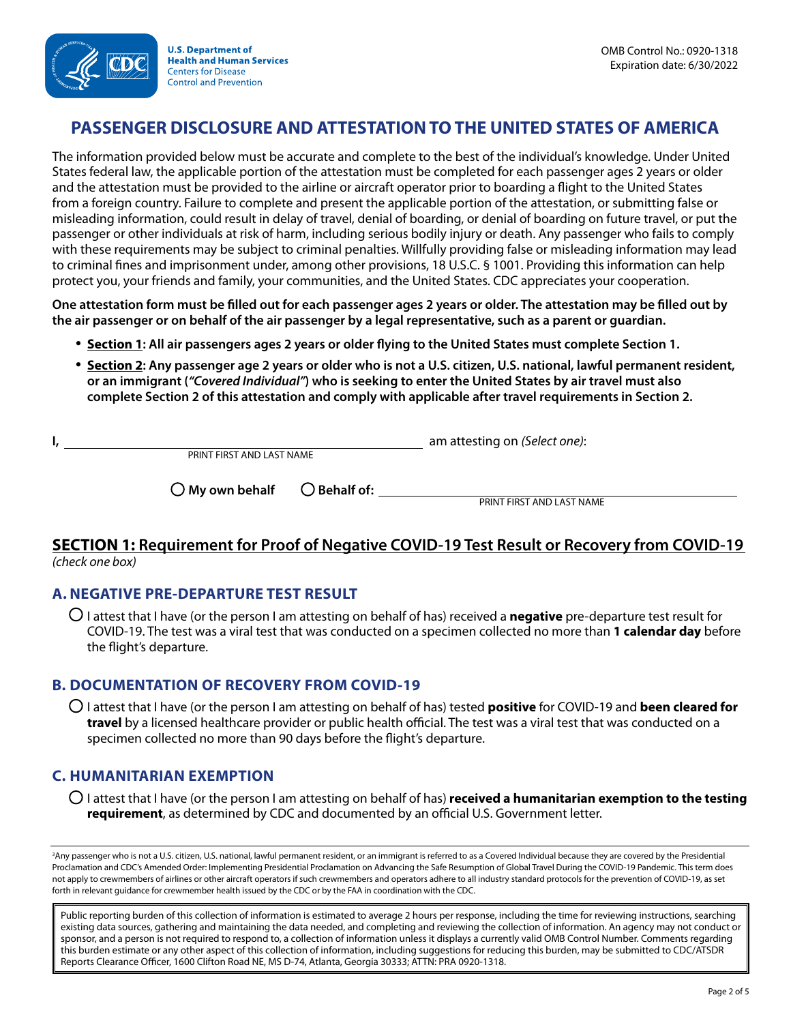

**U.S. Department of Health and Human Services Centers for Disease Control and Prevention** 

# **PASSENGER DISCLOSURE AND ATTESTATION TO THE UNITED STATES OF AMERICA**

The information provided below must be accurate and complete to the best of the individual's knowledge. Under United States federal law, the applicable portion of the attestation must be completed for each passenger ages 2 years or older and the attestation must be provided to the airline or aircraft operator prior to boarding a flight to the United States from a foreign country. Failure to complete and present the applicable portion of the attestation, or submitting false or misleading information, could result in delay of travel, denial of boarding, or denial of boarding on future travel, or put the passenger or other individuals at risk of harm, including serious bodily injury or death. Any passenger who fails to comply with these requirements may be subject to criminal penalties. Willfully providing false or misleading information may lead to criminal fines and imprisonment under, among other provisions, 18 U.S.C. § 1001. Providing this information can help protect you, your friends and family, your communities, and the United States. CDC appreciates your cooperation.

**One attestation form must be filled out for each passenger ages 2 years or older. The attestation may be filled out by the air passenger or on behalf of the air passenger by a legal representative, such as a parent or guardian.** 

- **Section 1: All air passengers ages 2 years or older flying to the United States must complete Section 1.**
- **Section 2: Any passenger age 2 years or older who is not a U.S. citizen, U.S. national, lawful permanent resident, or an immigrant (***"Covered Individual"***) who is seeking to enter the United States by air travel must also complete Section 2 of this attestation and comply with applicable after travel requirements in Section 2.**

|  |                                                |                           | am attesting on (Select one): |
|--|------------------------------------------------|---------------------------|-------------------------------|
|  | PRINT FIRST AND LAST NAME                      |                           |                               |
|  | $\bigcirc$ My own behalf $\bigcirc$ Behalf of: |                           |                               |
|  |                                                | PRINT FIRST AND LAST NAME |                               |

#### **SECTION 1: Requirement for Proof of Negative COVID-19 Test Result or Recovery from COVID-19**  *(check one box)*

#### **A. NEGATIVE PRE-DEPARTURE TEST RESULT**

● I attest that I have (or the person I am attesting on behalf of has) received a **negative** pre-departure test result for COVID-19. The test was a viral test that was conducted on a specimen collected no more than **1 calendar day** before the flight's departure.

#### **B. DOCUMENTATION OF RECOVERY FROM COVID-19**

● I attest that I have (or the person I am attesting on behalf of has) tested **positive** for COVID-19 and **been cleared for travel** by a licensed healthcare provider or public health official. The test was a viral test that was conducted on a specimen collected no more than 90 days before the flight's departure.

## **C. HUMANITARIAN EXEMPTION**

● I attest that I have (or the person I am attesting on behalf of has) **received a humanitarian exemption to the testing requirement**, as determined by CDC and documented by an official U.S. Government letter.

3 Any passenger who is not a U.S. citizen, U.S. national, lawful permanent resident, or an immigrant is referred to as a Covered Individual because they are covered by the Presidential Proclamation and CDC's Amended Order: Implementing Presidential Proclamation on Advancing the Safe Resumption of Global Travel During the COVID-19 Pandemic. This term does not apply to crewmembers of airlines or other aircraft operators if such crewmembers and operators adhere to all industry standard protocols for the prevention of COVID-19, as set forth in relevant guidance for crewmember health issued by the CDC or by the FAA in coordination with the CDC.

Public reporting burden of this collection of information is estimated to average 2 hours per response, including the time for reviewing instructions, searching existing data sources, gathering and maintaining the data needed, and completing and reviewing the collection of information. An agency may not conduct or sponsor, and a person is not required to respond to, a collection of information unless it displays a currently valid OMB Control Number. Comments regarding this burden estimate or any other aspect of this collection of information, including suggestions for reducing this burden, may be submitted to CDC/ATSDR Reports Clearance Officer, 1600 Clifton Road NE, MS D-74, Atlanta, Georgia 30333; ATTN: PRA 0920-1318.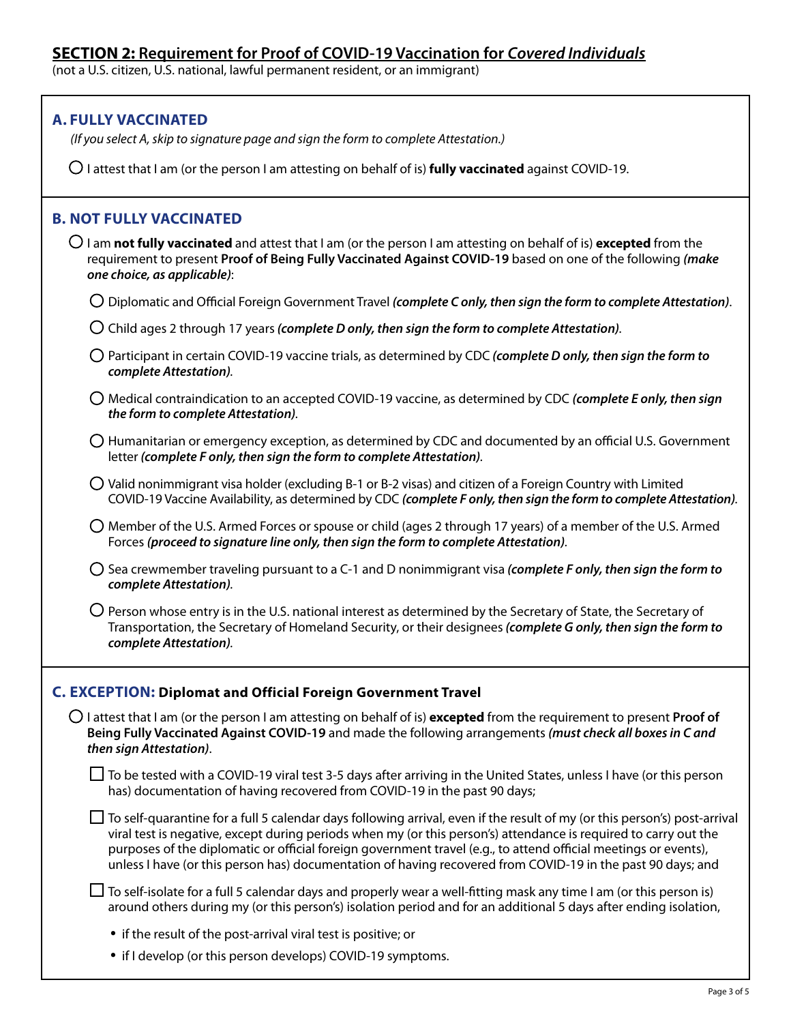(not a U.S. citizen, U.S. national, lawful permanent resident, or an immigrant)

| <b>A. FULLY VACCINATED</b><br>(If you select A, skip to signature page and sign the form to complete Attestation.)                                                                                                                                                                                                                                                                                                                                                                     |
|----------------------------------------------------------------------------------------------------------------------------------------------------------------------------------------------------------------------------------------------------------------------------------------------------------------------------------------------------------------------------------------------------------------------------------------------------------------------------------------|
| $\bigcirc$ I attest that I am (or the person I am attesting on behalf of is) <b>fully vaccinated</b> against COVID-19.                                                                                                                                                                                                                                                                                                                                                                 |
| <b>B. NOT FULLY VACCINATED</b>                                                                                                                                                                                                                                                                                                                                                                                                                                                         |
| $\bigcirc$ I am not fully vaccinated and attest that I am (or the person I am attesting on behalf of is) excepted from the<br>requirement to present Proof of Being Fully Vaccinated Against COVID-19 based on one of the following (make<br>one choice, as applicable):                                                                                                                                                                                                               |
| $\bigcirc$ Diplomatic and Official Foreign Government Travel (complete C only, then sign the form to complete Attestation).                                                                                                                                                                                                                                                                                                                                                            |
| $\bigcirc$ Child ages 2 through 17 years (complete D only, then sign the form to complete Attestation).                                                                                                                                                                                                                                                                                                                                                                                |
| $\bigcirc$ Participant in certain COVID-19 vaccine trials, as determined by CDC (complete D only, then sign the form to<br>complete Attestation).                                                                                                                                                                                                                                                                                                                                      |
| $\bigcirc$ Medical contraindication to an accepted COVID-19 vaccine, as determined by CDC (complete E only, then sign<br>the form to complete Attestation).                                                                                                                                                                                                                                                                                                                            |
| $\bigcirc$ Humanitarian or emergency exception, as determined by CDC and documented by an official U.S. Government<br>letter (complete F only, then sign the form to complete Attestation).                                                                                                                                                                                                                                                                                            |
| $\bigcirc$ Valid nonimmigrant visa holder (excluding B-1 or B-2 visas) and citizen of a Foreign Country with Limited<br>COVID-19 Vaccine Availability, as determined by CDC (complete F only, then sign the form to complete Attestation).                                                                                                                                                                                                                                             |
| $\bigcirc$ Member of the U.S. Armed Forces or spouse or child (ages 2 through 17 years) of a member of the U.S. Armed<br>Forces (proceed to signature line only, then sign the form to complete Attestation).                                                                                                                                                                                                                                                                          |
| $\bigcirc$ Sea crewmember traveling pursuant to a C-1 and D nonimmigrant visa (complete F only, then sign the form to<br>complete Attestation).                                                                                                                                                                                                                                                                                                                                        |
| $\bigcirc$ Person whose entry is in the U.S. national interest as determined by the Secretary of State, the Secretary of<br>Transportation, the Secretary of Homeland Security, or their designees (complete G only, then sign the form to<br>complete Attestation).                                                                                                                                                                                                                   |
| C. EXCEPTION: Diplomat and Official Foreign Government Travel                                                                                                                                                                                                                                                                                                                                                                                                                          |
| $\bigcirc$ I attest that I am (or the person I am attesting on behalf of is) excepted from the requirement to present Proof of<br>Being Fully Vaccinated Against COVID-19 and made the following arrangements (must check all boxes in C and<br>then sign Attestation).                                                                                                                                                                                                                |
| $\Box$ To be tested with a COVID-19 viral test 3-5 days after arriving in the United States, unless I have (or this person<br>has) documentation of having recovered from COVID-19 in the past 90 days;                                                                                                                                                                                                                                                                                |
| $\Box$ To self-quarantine for a full 5 calendar days following arrival, even if the result of my (or this person's) post-arrival<br>viral test is negative, except during periods when my (or this person's) attendance is required to carry out the<br>purposes of the diplomatic or official foreign government travel (e.g., to attend official meetings or events),<br>unless I have (or this person has) documentation of having recovered from COVID-19 in the past 90 days; and |
| $\Box$ To self-isolate for a full 5 calendar days and properly wear a well-fitting mask any time I am (or this person is)<br>around others during my (or this person's) isolation period and for an additional 5 days after ending isolation,                                                                                                                                                                                                                                          |
| • if the result of the post-arrival viral test is positive; or                                                                                                                                                                                                                                                                                                                                                                                                                         |

• if I develop (or this person develops) COVID-19 symptoms.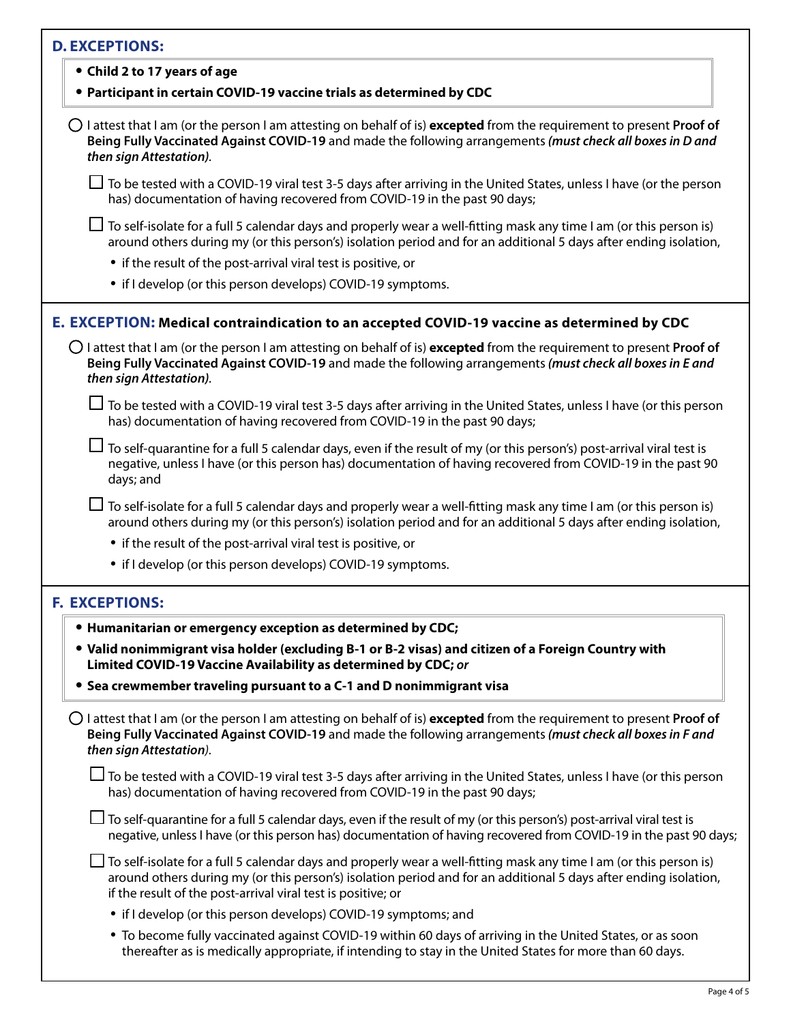| <b>D. EXCEPTIONS:</b>                                                                                                                                                                                                                                                                                    |
|----------------------------------------------------------------------------------------------------------------------------------------------------------------------------------------------------------------------------------------------------------------------------------------------------------|
| • Child 2 to 17 years of age                                                                                                                                                                                                                                                                             |
| • Participant in certain COVID-19 vaccine trials as determined by CDC                                                                                                                                                                                                                                    |
| $\bigcirc$ I attest that I am (or the person I am attesting on behalf of is) <b>excepted</b> from the requirement to present Proof of<br>Being Fully Vaccinated Against COVID-19 and made the following arrangements (must check all boxes in D and<br>then sign Attestation).                           |
| $\Box$ To be tested with a COVID-19 viral test 3-5 days after arriving in the United States, unless I have (or the person<br>has) documentation of having recovered from COVID-19 in the past 90 days;                                                                                                   |
| To self-isolate for a full 5 calendar days and properly wear a well-fitting mask any time I am (or this person is)<br>around others during my (or this person's) isolation period and for an additional 5 days after ending isolation,                                                                   |
| • if the result of the post-arrival viral test is positive, or                                                                                                                                                                                                                                           |
| • if I develop (or this person develops) COVID-19 symptoms.                                                                                                                                                                                                                                              |
| E. EXCEPTION: Medical contraindication to an accepted COVID-19 vaccine as determined by CDC                                                                                                                                                                                                              |
| $\bigcirc$ I attest that I am (or the person I am attesting on behalf of is) excepted from the requirement to present Proof of<br>Being Fully Vaccinated Against COVID-19 and made the following arrangements (must check all boxes in E and<br>then sign Attestation).                                  |
| $\Box$ To be tested with a COVID-19 viral test 3-5 days after arriving in the United States, unless I have (or this person<br>has) documentation of having recovered from COVID-19 in the past 90 days;                                                                                                  |
| $\sf J$ To self-quarantine for a full 5 calendar days, even if the result of my (or this person's) post-arrival viral test is<br>negative, unless I have (or this person has) documentation of having recovered from COVID-19 in the past 90<br>days; and                                                |
| To self-isolate for a full 5 calendar days and properly wear a well-fitting mask any time I am (or this person is)<br>around others during my (or this person's) isolation period and for an additional 5 days after ending isolation,                                                                   |
| • if the result of the post-arrival viral test is positive, or                                                                                                                                                                                                                                           |
| • if I develop (or this person develops) COVID-19 symptoms.                                                                                                                                                                                                                                              |
| <b>F. EXCEPTIONS:</b>                                                                                                                                                                                                                                                                                    |
| . Humanitarian or emergency exception as determined by CDC;                                                                                                                                                                                                                                              |
| • Valid nonimmigrant visa holder (excluding B-1 or B-2 visas) and citizen of a Foreign Country with<br>Limited COVID-19 Vaccine Availability as determined by CDC; or                                                                                                                                    |
| • Sea crewmember traveling pursuant to a C-1 and D nonimmigrant visa                                                                                                                                                                                                                                     |
| $\bigcirc$ I attest that I am (or the person I am attesting on behalf of is) <b>excepted</b> from the requirement to present Proof of<br>Being Fully Vaccinated Against COVID-19 and made the following arrangements (must check all boxes in F and<br>then sign Attestation).                           |
| □ To be tested with a COVID-19 viral test 3-5 days after arriving in the United States, unless I have (or this person<br>has) documentation of having recovered from COVID-19 in the past 90 days;                                                                                                       |
| $\Box$ To self-quarantine for a full 5 calendar days, even if the result of my (or this person's) post-arrival viral test is<br>negative, unless I have (or this person has) documentation of having recovered from COVID-19 in the past 90 days;                                                        |
| J To self-isolate for a full 5 calendar days and properly wear a well-fitting mask any time I am (or this person is)<br>around others during my (or this person's) isolation period and for an additional 5 days after ending isolation,<br>if the result of the post-arrival viral test is positive; or |
| • if I develop (or this person develops) COVID-19 symptoms; and                                                                                                                                                                                                                                          |
| • To become fully vaccinated against COVID-19 within 60 days of arriving in the United States, or as soon                                                                                                                                                                                                |

thereafter as is medically appropriate, if intending to stay in the United States for more than 60 days.